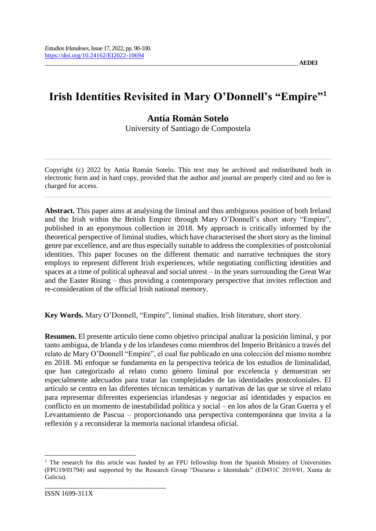# **Irish Identities Revisited in Mary O'Donnell's "Empire"<sup>1</sup>**

# **Antía Román Sotelo**

University of Santiago de Compostela

Copyright (c) 2022 by Antía Román Sotelo. This text may be archived and redistributed both in electronic form and in hard copy, provided that the author and journal are properly cited and no fee is charged for access.

**Abstract.** This paper aims at analysing the liminal and thus ambiguous position of both Ireland and the Irish within the British Empire through Mary O'Donnell's short story "Empire", published in an eponymous collection in 2018. My approach is critically informed by the theoretical perspective of liminal studies, which have characterised the short story as the liminal genre par excellence, and are thus especially suitable to address the complexities of postcolonial identities. This paper focuses on the different thematic and narrative techniques the story employs to represent different Irish experiences, while negotiating conflicting identities and spaces at a time of political upheaval and social unrest – in the years surrounding the Great War and the Easter Rising – thus providing a contemporary perspective that invites reflection and re-consideration of the official Irish national memory.

**Key Words.** Mary O'Donnell, "Empire", liminal studies, Irish literature, short story.

**Resumen.** El presente artículo tiene como objetivo principal analizar la posición liminal, y por tanto ambigua, de Irlanda y de los irlandeses como miembros del Imperio Británico a través del relato de Mary O'Donnell "Empire", el cual fue publicado en una colección del mismo nombre en 2018. Mi enfoque se fundamenta en la perspectiva teórica de los estudios de liminalidad, que han categorizado al relato como género liminal por excelencia y demuestran ser especialmente adecuados para tratar las complejidades de las identidades postcoloniales. El artículo se centra en las diferentes técnicas temáticas y narrativas de las que se sirve el relato para representar diferentes experiencias irlandesas y negociar así identidades y espacios en conflicto en un momento de inestabilidad política y social – en los años de la Gran Guerra y el Levantamiento de Pascua – proporcionando una perspectiva contemporánea que invita a la reflexión y a reconsiderar la memoria nacional irlandesa oficial.

 $\overline{a}$ 

\_\_\_\_\_\_\_\_\_\_\_\_\_\_\_\_\_\_\_\_\_\_\_\_\_\_\_\_\_\_\_\_

<sup>&</sup>lt;sup>1</sup> The research for this article was funded by an FPU fellowship from the Spanish Ministry of Universities (FPU19/01794) and supported by the Research Group "Discurso e Identidade" (ED431C 2019/01, Xunta de Galicia).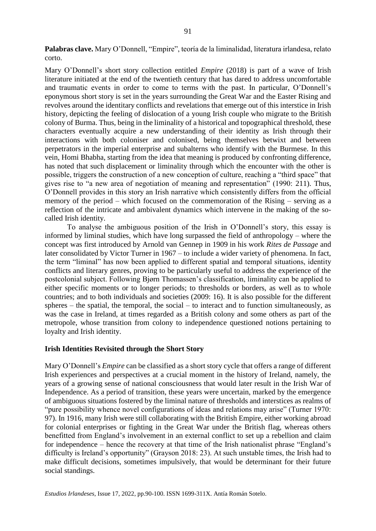**Palabras clave.** Mary O'Donnell, "Empire", teoría de la liminalidad, literatura irlandesa, relato corto.

Mary O'Donnell's short story collection entitled *Empire* (2018) is part of a wave of Irish literature initiated at the end of the twentieth century that has dared to address uncomfortable and traumatic events in order to come to terms with the past. In particular, O'Donnell's eponymous short story is set in the years surrounding the Great War and the Easter Rising and revolves around the identitary conflicts and revelations that emerge out of this interstice in Irish history, depicting the feeling of dislocation of a young Irish couple who migrate to the British colony of Burma. Thus, being in the liminality of a historical and topographical threshold, these characters eventually acquire a new understanding of their identity as Irish through their interactions with both coloniser and colonised, being themselves betwixt and between perpetrators in the imperial enterprise and subalterns who identify with the Burmese. In this vein, Homi Bhabha, starting from the idea that meaning is produced by confronting difference, has noted that such displacement or liminality through which the encounter with the other is possible, triggers the construction of a new conception of culture, reaching a "third space" that gives rise to "a new area of negotiation of meaning and representation" (1990: 211). Thus, O'Donnell provides in this story an Irish narrative which consistently differs from the official memory of the period – which focused on the commemoration of the Rising – serving as a reflection of the intricate and ambivalent dynamics which intervene in the making of the socalled Irish identity.

To analyse the ambiguous position of the Irish in O'Donnell's story, this essay is informed by liminal studies, which have long surpassed the field of anthropology – where the concept was first introduced by Arnold van Gennep in 1909 in his work *Rites de Passage* and later consolidated by Victor Turner in 1967 – to include a wider variety of phenomena. In fact, the term "liminal" has now been applied to different spatial and temporal situations, identity conflicts and literary genres, proving to be particularly useful to address the experience of the postcolonial subject. Following Bjørn Thomassen's classification, liminality can be applied to either specific moments or to longer periods; to thresholds or borders, as well as to whole countries; and to both individuals and societies (2009: 16). It is also possible for the different spheres – the spatial, the temporal, the social – to interact and to function simultaneously, as was the case in Ireland, at times regarded as a British colony and some others as part of the metropole, whose transition from colony to independence questioned notions pertaining to loyalty and Irish identity.

## **Irish Identities Revisited through the Short Story**

Mary O'Donnell's *Empire* can be classified as a short story cycle that offers a range of different Irish experiences and perspectives at a crucial moment in the history of Ireland, namely, the years of a growing sense of national consciousness that would later result in the Irish War of Independence. As a period of transition, these years were uncertain, marked by the emergence of ambiguous situations fostered by the liminal nature of thresholds and interstices as realms of "pure possibility whence novel configurations of ideas and relations may arise" (Turner 1970: 97). In 1916, many Irish were still collaborating with the British Empire, either working abroad for colonial enterprises or fighting in the Great War under the British flag, whereas others benefitted from England's involvement in an external conflict to set up a rebellion and claim for independence – hence the recovery at that time of the Irish nationalist phrase "England's difficulty is Ireland's opportunity" (Grayson 2018: 23). At such unstable times, the Irish had to make difficult decisions, sometimes impulsively, that would be determinant for their future social standings.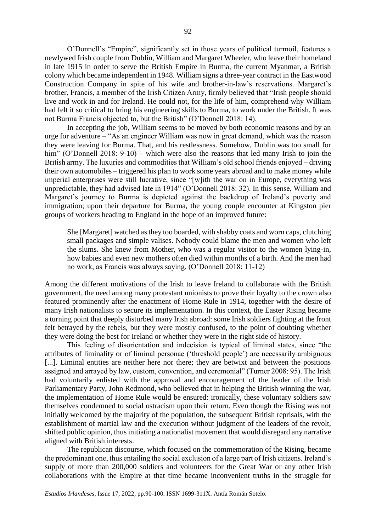O'Donnell's "Empire", significantly set in those years of political turmoil, features a newlywed Irish couple from Dublin, William and Margaret Wheeler, who leave their homeland in late 1915 in order to serve the British Empire in Burma, the current Myanmar, a British colony which became independent in 1948. William signs a three-year contract in the Eastwood Construction Company in spite of his wife and brother-in-law's reservations. Margaret's brother, Francis, a member of the Irish Citizen Army, firmly believed that "Irish people should live and work in and for Ireland. He could not, for the life of him, comprehend why William had felt it so critical to bring his engineering skills to Burma, to work under the British. It was not Burma Francis objected to, but the British" (O'Donnell 2018: 14).

In accepting the job, William seems to be moved by both economic reasons and by an urge for adventure – "As an engineer William was now in great demand, which was the reason they were leaving for Burma. That, and his restlessness. Somehow, Dublin was too small for him" (O'Donnell 2018: 9-10) – which were also the reasons that led many Irish to join the British army. The luxuries and commodities that William's old school friends enjoyed – driving their own automobiles – triggered his plan to work some years abroad and to make money while imperial enterprises were still lucrative, since "[w]ith the war on in Europe, everything was unpredictable, they had advised late in 1914" (O'Donnell 2018: 32). In this sense, William and Margaret's journey to Burma is depicted against the backdrop of Ireland's poverty and immigration; upon their departure for Burma, the young couple encounter at Kingston pier groups of workers heading to England in the hope of an improved future:

She [Margaret] watched as they too boarded, with shabby coats and worn caps, clutching small packages and simple valises. Nobody could blame the men and women who left the slums. She knew from Mother, who was a regular visitor to the women lying-in, how babies and even new mothers often died within months of a birth. And the men had no work, as Francis was always saying. (O'Donnell 2018: 11-12)

Among the different motivations of the Irish to leave Ireland to collaborate with the British government, the need among many protestant unionists to prove their loyalty to the crown also featured prominently after the enactment of Home Rule in 1914, together with the desire of many Irish nationalists to secure its implementation. In this context, the Easter Rising became a turning point that deeply disturbed many Irish abroad: some Irish soldiers fighting at the front felt betrayed by the rebels, but they were mostly confused, to the point of doubting whether they were doing the best for Ireland or whether they were in the right side of history.

This feeling of disorientation and indecision is typical of liminal states, since "the attributes of liminality or of liminal personae ('threshold people') are necessarily ambiguous [...]. Liminal entities are neither here nor there; they are betwixt and between the positions assigned and arrayed by law, custom, convention, and ceremonial" (Turner 2008: 95). The Irish had voluntarily enlisted with the approval and encouragement of the leader of the Irish Parliamentary Party, John Redmond, who believed that in helping the British winning the war, the implementation of Home Rule would be ensured: ironically, these voluntary soldiers saw themselves condemned to social ostracism upon their return. Even though the Rising was not initially welcomed by the majority of the population, the subsequent British reprisals, with the establishment of martial law and the execution without judgment of the leaders of the revolt, shifted public opinion, thus initiating a nationalist movement that would disregard any narrative aligned with British interests.

The republican discourse, which focused on the commemoration of the Rising, became the predominant one, thus entailing the social exclusion of a large part of Irish citizens. Ireland's supply of more than 200,000 soldiers and volunteers for the Great War or any other Irish collaborations with the Empire at that time became inconvenient truths in the struggle for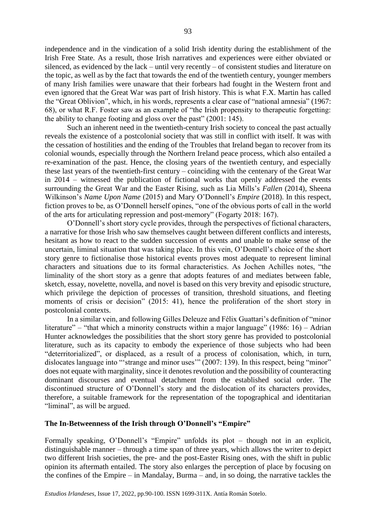independence and in the vindication of a solid Irish identity during the establishment of the Irish Free State. As a result, those Irish narratives and experiences were either obviated or silenced, as evidenced by the lack – until very recently – of consistent studies and literature on the topic, as well as by the fact that towards the end of the twentieth century, younger members of many Irish families were unaware that their forbears had fought in the Western front and even ignored that the Great War was part of Irish history. This is what F.X. Martin has called the "Great Oblivion", which, in his words, represents a clear case of "national amnesia" (1967: 68), or what R.F. Foster saw as an example of "the Irish propensity to therapeutic forgetting: the ability to change footing and gloss over the past" (2001: 145).

Such an inherent need in the twentieth-century Irish society to conceal the past actually reveals the existence of a postcolonial society that was still in conflict with itself. It was with the cessation of hostilities and the ending of the Troubles that Ireland began to recover from its colonial wounds, especially through the Northern Ireland peace process, which also entailed a re-examination of the past. Hence, the closing years of the twentieth century, and especially these last years of the twentieth-first century – coinciding with the centenary of the Great War in 2014 – witnessed the publication of fictional works that openly addressed the events surrounding the Great War and the Easter Rising, such as Lia Mills's *Fallen* (2014), Sheena Wilkinson's *Name Upon Name* (2015) and Mary O'Donnell's *Empire* (2018). In this respect, fiction proves to be, as O'Donnell herself opines, "one of the obvious ports of call in the world of the arts for articulating repression and post-memory" (Fogarty 2018: 167).

O'Donnell's short story cycle provides, through the perspectives of fictional characters, a narrative for those Irish who saw themselves caught between different conflicts and interests, hesitant as how to react to the sudden succession of events and unable to make sense of the uncertain, liminal situation that was taking place. In this vein, O'Donnell's choice of the short story genre to fictionalise those historical events proves most adequate to represent liminal characters and situations due to its formal characteristics. As Jochen Achilles notes, "the liminality of the short story as a genre that adopts features of and mediates between fable, sketch, essay, novelette, novella, and novel is based on this very brevity and episodic structure, which privilege the depiction of processes of transition, threshold situations, and fleeting moments of crisis or decision" (2015: 41), hence the proliferation of the short story in postcolonial contexts.

In a similar vein, and following Gilles Deleuze and Félix Guattari's definition of "minor literature" – "that which a minority constructs within a major language" (1986: 16) – Adrian Hunter acknowledges the possibilities that the short story genre has provided to postcolonial literature, such as its capacity to embody the experience of those subjects who had been "deterritorialized", or displaced, as a result of a process of colonisation, which, in turn, dislocates language into "'strange and minor uses'" (2007: 139). In this respect, being "minor" does not equate with marginality, since it denotes revolution and the possibility of counteracting dominant discourses and eventual detachment from the established social order. The discontinued structure of O'Donnell's story and the dislocation of its characters provides, therefore, a suitable framework for the representation of the topographical and identitarian "liminal", as will be argued.

#### **The In-Betweenness of the Irish through O'Donnell's "Empire"**

Formally speaking, O'Donnell's "Empire" unfolds its plot – though not in an explicit, distinguishable manner – through a time span of three years, which allows the writer to depict two different Irish societies, the pre- and the post-Easter Rising ones, with the shift in public opinion its aftermath entailed. The story also enlarges the perception of place by focusing on the confines of the Empire – in Mandalay, Burma – and, in so doing, the narrative tackles the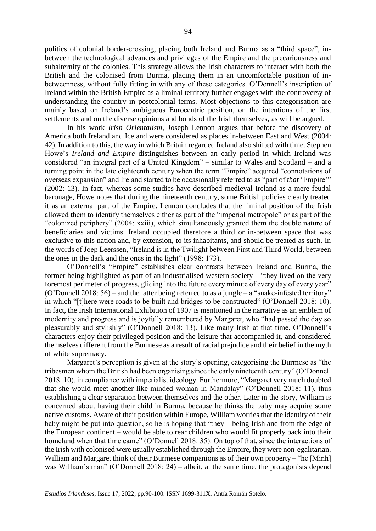politics of colonial border-crossing, placing both Ireland and Burma as a "third space", inbetween the technological advances and privileges of the Empire and the precariousness and subalternity of the colonies. This strategy allows the Irish characters to interact with both the British and the colonised from Burma, placing them in an uncomfortable position of inbetweenness, without fully fitting in with any of these categories. O'Donnell's inscription of Ireland within the British Empire as a liminal territory further engages with the controversy of understanding the country in postcolonial terms. Most objections to this categorisation are mainly based on Ireland's ambiguous Eurocentric position, on the intentions of the first settlements and on the diverse opinions and bonds of the Irish themselves, as will be argued.

In his work *Irish Orientalism*, Joseph Lennon argues that before the discovery of America both Ireland and Iceland were considered as places in-between East and West (2004: 42). In addition to this, the way in which Britain regarded Ireland also shifted with time. Stephen Howe's *Ireland and Empire* distinguishes between an early period in which Ireland was considered "an integral part of a United Kingdom" – similar to Wales and Scotland – and a turning point in the late eighteenth century when the term "Empire" acquired "connotations of overseas expansion" and Ireland started to be occasionally referred to as "part of *that* 'Empire'" (2002: 13). In fact, whereas some studies have described medieval Ireland as a mere feudal baronage, Howe notes that during the nineteenth century, some British policies clearly treated it as an external part of the Empire. Lennon concludes that the liminal position of the Irish allowed them to identify themselves either as part of the "imperial metropole" or as part of the "colonized periphery" (2004: xxiii), which simultaneously granted them the double nature of beneficiaries and victims. Ireland occupied therefore a third or in-between space that was exclusive to this nation and, by extension, to its inhabitants, and should be treated as such. In the words of Joep Leerssen, "Ireland is in the Twilight between First and Third World, between the ones in the dark and the ones in the light" (1998: 173).

O'Donnell's "Empire" establishes clear contrasts between Ireland and Burma, the former being highlighted as part of an industrialised western society – "they lived on the very foremost perimeter of progress, gliding into the future every minute of every day of every year" (O'Donnell 2018: 56) – and the latter being referred to as a jungle – a "snake-infested territory" in which "[t]here were roads to be built and bridges to be constructed" (O'Donnell 2018: 10). In fact, the Irish International Exhibition of 1907 is mentioned in the narrative as an emblem of modernity and progress and is joyfully remembered by Margaret, who "had passed the day so pleasurably and stylishly" (O'Donnell 2018: 13). Like many Irish at that time, O'Donnell's characters enjoy their privileged position and the leisure that accompanied it, and considered themselves different from the Burmese as a result of racial prejudice and their belief in the myth of white supremacy.

Margaret's perception is given at the story's opening, categorising the Burmese as "the tribesmen whom the British had been organising since the early nineteenth century" (O'Donnell 2018: 10), in compliance with imperialist ideology. Furthermore, "Margaret very much doubted that she would meet another like-minded woman in Mandalay" (O'Donnell 2018: 11), thus establishing a clear separation between themselves and the other. Later in the story, William is concerned about having their child in Burma, because he thinks the baby may acquire some native customs. Aware of their position within Europe, William worries that the identity of their baby might be put into question, so he is hoping that "they – being Irish and from the edge of the European continent – would be able to rear children who would fit properly back into their homeland when that time came" (O'Donnell 2018: 35). On top of that, since the interactions of the Irish with colonised were usually established through the Empire, they were non-egalitarian. William and Margaret think of their Burmese companions as of their own property – "he [Minh] was William's man" (O'Donnell 2018: 24) – albeit, at the same time, the protagonists depend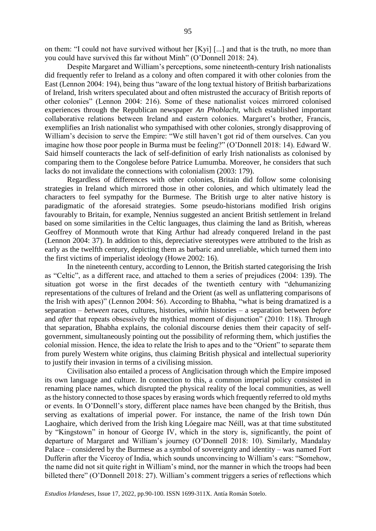on them: "I could not have survived without her [Kyi] [...] and that is the truth, no more than you could have survived this far without Minh" (O'Donnell 2018: 24).

Despite Margaret and William's perceptions, some nineteenth-century Irish nationalists did frequently refer to Ireland as a colony and often compared it with other colonies from the East (Lennon 2004: 194), being thus "aware of the long textual history of British barbarizations of Ireland, Irish writers speculated about and often mistrusted the accuracy of British reports of other colonies" (Lennon 2004: 216). Some of these nationalist voices mirrored colonised experiences through the Republican newspaper *An Phoblacht*, which established important collaborative relations between Ireland and eastern colonies. Margaret's brother, Francis, exemplifies an Irish nationalist who sympathised with other colonies, strongly disapproving of William's decision to serve the Empire: "We still haven't got rid of them ourselves. Can you imagine how those poor people in Burma must be feeling?" (O'Donnell 2018: 14). Edward W. Said himself counteracts the lack of self-definition of early Irish nationalists as colonised by comparing them to the Congolese before Patrice Lumumba. Moreover, he considers that such lacks do not invalidate the connections with colonialism (2003: 179).

Regardless of differences with other colonies, Britain did follow some colonising strategies in Ireland which mirrored those in other colonies, and which ultimately lead the characters to feel sympathy for the Burmese. The British urge to alter native history is paradigmatic of the aforesaid strategies. Some pseudo-historians modified Irish origins favourably to Britain, for example, Nennius suggested an ancient British settlement in Ireland based on some similarities in the Celtic languages, thus claiming the land as British, whereas Geoffrey of Monmouth wrote that King Arthur had already conquered Ireland in the past (Lennon 2004: 37). In addition to this, depreciative stereotypes were attributed to the Irish as early as the twelfth century, depicting them as barbaric and unreliable, which turned them into the first victims of imperialist ideology (Howe 2002: 16).

In the nineteenth century, according to Lennon, the British started categorising the Irish as "Celtic", as a different race, and attached to them a series of prejudices (2004: 139). The situation got worse in the first decades of the twentieth century with "dehumanizing representations of the cultures of Ireland and the Orient (as well as unflattering comparisons of the Irish with apes)" (Lennon 2004: 56). According to Bhabha, "what is being dramatized is a separation – *between* races, cultures, histories, *within* histories – a separation between *before* and *after* that repeats obsessively the mythical moment of disjunction" (2010: 118). Through that separation, Bhabha explains, the colonial discourse denies them their capacity of selfgovernment, simultaneously pointing out the possibility of reforming them, which justifies the colonial mission. Hence, the idea to relate the Irish to apes and to the "Orient" to separate them from purely Western white origins, thus claiming British physical and intellectual superiority to justify their invasion in terms of a civilising mission.

Civilisation also entailed a process of Anglicisation through which the Empire imposed its own language and culture. In connection to this, a common imperial policy consisted in renaming place names, which disrupted the physical reality of the local communities, as well as the history connected to those spaces by erasing words which frequently referred to old myths or events. In O'Donnell's story, different place names have been changed by the British, thus serving as exaltations of imperial power. For instance, the name of the Irish town Dún Laoghaire, which derived from the Irish king Lóegaire mac Néill, was at that time substituted by "Kingstown" in honour of George IV, which in the story is, significantly, the point of departure of Margaret and William's journey (O'Donnell 2018: 10). Similarly, Mandalay Palace – considered by the Burmese as a symbol of sovereignty and identity – was named Fort Dufferin after the Viceroy of India, which sounds unconvincing to William's ears: "Somehow, the name did not sit quite right in William's mind, nor the manner in which the troops had been billeted there" (O'Donnell 2018: 27). William's comment triggers a series of reflections which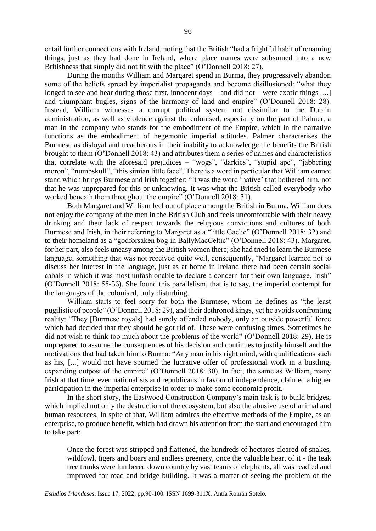entail further connections with Ireland, noting that the British "had a frightful habit of renaming things, just as they had done in Ireland, where place names were subsumed into a new Britishness that simply did not fit with the place" (O'Donnell 2018: 27).

During the months William and Margaret spend in Burma, they progressively abandon some of the beliefs spread by imperialist propaganda and become disillusioned: "what they longed to see and hear during those first, innocent days – and did not – were exotic things [...] and triumphant bugles, signs of the harmony of land and empire" (O'Donnell 2018: 28). Instead, William witnesses a corrupt political system not dissimilar to the Dublin administration, as well as violence against the colonised, especially on the part of Palmer, a man in the company who stands for the embodiment of the Empire, which in the narrative functions as the embodiment of hegemonic imperial attitudes. Palmer characterises the Burmese as disloyal and treacherous in their inability to acknowledge the benefits the British brought to them (O'Donnell 2018: 43) and attributes them a series of names and characteristics that correlate with the aforesaid prejudices – "wogs", "darkies", "stupid ape", "jabbering moron", "numbskull", "this simian little face". There is a word in particular that William cannot stand which brings Burmese and Irish together: "It was the word 'native' that bothered him, not that he was unprepared for this or unknowing. It was what the British called everybody who worked beneath them throughout the empire" (O'Donnell 2018: 31).

Both Margaret and William feel out of place among the British in Burma. William does not enjoy the company of the men in the British Club and feels uncomfortable with their heavy drinking and their lack of respect towards the religious convictions and cultures of both Burmese and Irish, in their referring to Margaret as a "little Gaelic" (O'Donnell 2018: 32) and to their homeland as a "godforsaken bog in BallyMacCeltic" (O'Donnell 2018: 43). Margaret, for her part, also feels uneasy among the British women there; she had tried to learn the Burmese language, something that was not received quite well, consequently, "Margaret learned not to discuss her interest in the language, just as at home in Ireland there had been certain social cabals in which it was most unfashionable to declare a concern for their own language, Irish" (O'Donnell 2018: 55-56). She found this parallelism, that is to say, the imperial contempt for the languages of the colonised, truly disturbing.

William starts to feel sorry for both the Burmese, whom he defines as "the least pugilistic of people" (O'Donnell 2018: 29), and their dethroned kings, yet he avoids confronting reality: "They [Burmese royals] had surely offended nobody, only an outside powerful force which had decided that they should be got rid of. These were confusing times. Sometimes he did not wish to think too much about the problems of the world" (O'Donnell 2018: 29). He is unprepared to assume the consequences of his decision and continues to justify himself and the motivations that had taken him to Burma: "Any man in his right mind, with qualifications such as his, [...] would not have spurned the lucrative offer of professional work in a bustling, expanding outpost of the empire" (O'Donnell 2018: 30). In fact, the same as William, many Irish at that time, even nationalists and republicans in favour of independence, claimed a higher participation in the imperial enterprise in order to make some economic profit.

In the short story, the Eastwood Construction Company's main task is to build bridges, which implied not only the destruction of the ecosystem, but also the abusive use of animal and human resources. In spite of that, William admires the effective methods of the Empire, as an enterprise, to produce benefit, which had drawn his attention from the start and encouraged him to take part:

Once the forest was stripped and flattened, the hundreds of hectares cleared of snakes, wildfowl, tigers and boars and endless greenery, once the valuable heart of it - the teak tree trunks were lumbered down country by vast teams of elephants, all was readied and improved for road and bridge-building. It was a matter of seeing the problem of the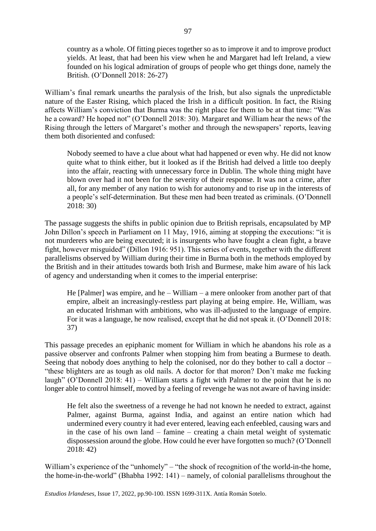country as a whole. Of fitting pieces together so as to improve it and to improve product yields. At least, that had been his view when he and Margaret had left Ireland, a view founded on his logical admiration of groups of people who get things done, namely the British. (O'Donnell 2018: 26-27)

William's final remark unearths the paralysis of the Irish, but also signals the unpredictable nature of the Easter Rising, which placed the Irish in a difficult position. In fact, the Rising affects William's conviction that Burma was the right place for them to be at that time: "Was he a coward? He hoped not" (O'Donnell 2018: 30). Margaret and William hear the news of the Rising through the letters of Margaret's mother and through the newspapers' reports, leaving them both disoriented and confused:

Nobody seemed to have a clue about what had happened or even why. He did not know quite what to think either, but it looked as if the British had delved a little too deeply into the affair, reacting with unnecessary force in Dublin. The whole thing might have blown over had it not been for the severity of their response. It was not a crime, after all, for any member of any nation to wish for autonomy and to rise up in the interests of a people's self-determination. But these men had been treated as criminals. (O'Donnell 2018: 30)

The passage suggests the shifts in public opinion due to British reprisals, encapsulated by MP John Dillon's speech in Parliament on 11 May, 1916, aiming at stopping the executions: "it is not murderers who are being executed; it is insurgents who have fought a clean fight, a brave fight, however misguided" (Dillon 1916: 951). This series of events, together with the different parallelisms observed by William during their time in Burma both in the methods employed by the British and in their attitudes towards both Irish and Burmese, make him aware of his lack of agency and understanding when it comes to the imperial enterprise:

He [Palmer] was empire, and he – William – a mere onlooker from another part of that empire, albeit an increasingly-restless part playing at being empire. He, William, was an educated Irishman with ambitions, who was ill-adjusted to the language of empire. For it was a language, he now realised, except that he did not speak it. (O'Donnell 2018: 37)

This passage precedes an epiphanic moment for William in which he abandons his role as a passive observer and confronts Palmer when stopping him from beating a Burmese to death. Seeing that nobody does anything to help the colonised, nor do they bother to call a doctor – "these blighters are as tough as old nails. A doctor for that moron? Don't make me fucking laugh" (O'Donnell 2018: 41) – William starts a fight with Palmer to the point that he is no longer able to control himself, moved by a feeling of revenge he was not aware of having inside:

He felt also the sweetness of a revenge he had not known he needed to extract, against Palmer, against Burma, against India, and against an entire nation which had undermined every country it had ever entered, leaving each enfeebled, causing wars and in the case of his own land – famine – creating a chain metal weight of systematic dispossession around the globe. How could he ever have forgotten so much? (O'Donnell 2018: 42)

William's experience of the "unhomely" – "the shock of recognition of the world-in-the home, the home-in-the-world" (Bhabha 1992: 141) – namely, of colonial parallelisms throughout the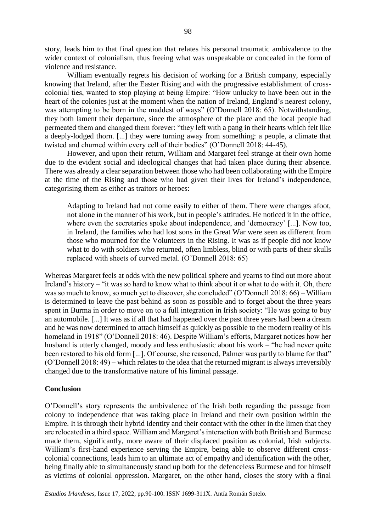story, leads him to that final question that relates his personal traumatic ambivalence to the wider context of colonialism, thus freeing what was unspeakable or concealed in the form of violence and resistance.

William eventually regrets his decision of working for a British company, especially knowing that Ireland, after the Easter Rising and with the progressive establishment of crosscolonial ties, wanted to stop playing at being Empire: "How unlucky to have been out in the heart of the colonies just at the moment when the nation of Ireland, England's nearest colony, was attempting to be born in the maddest of ways" (O'Donnell 2018: 65). Notwithstanding, they both lament their departure, since the atmosphere of the place and the local people had permeated them and changed them forever: "they left with a pang in their hearts which felt like a deeply-lodged thorn. [...] they were turning away from something: a people, a climate that twisted and churned within every cell of their bodies" (O'Donnell 2018: 44-45).

However, and upon their return, William and Margaret feel strange at their own home due to the evident social and ideological changes that had taken place during their absence. There was already a clear separation between those who had been collaborating with the Empire at the time of the Rising and those who had given their lives for Ireland's independence, categorising them as either as traitors or heroes:

Adapting to Ireland had not come easily to either of them. There were changes afoot, not alone in the manner of his work, but in people's attitudes. He noticed it in the office, where even the secretaries spoke about independence, and 'democracy' [...]. Now too, in Ireland, the families who had lost sons in the Great War were seen as different from those who mourned for the Volunteers in the Rising. It was as if people did not know what to do with soldiers who returned, often limbless, blind or with parts of their skulls replaced with sheets of curved metal. (O'Donnell 2018: 65)

Whereas Margaret feels at odds with the new political sphere and yearns to find out more about Ireland's history – "it was so hard to know what to think about it or what to do with it. Oh, there was so much to know, so much yet to discover, she concluded" (O'Donnell 2018: 66) – William is determined to leave the past behind as soon as possible and to forget about the three years spent in Burma in order to move on to a full integration in Irish society: "He was going to buy an automobile. [...] It was as if all that had happened over the past three years had been a dream and he was now determined to attach himself as quickly as possible to the modern reality of his homeland in 1918" (O'Donnell 2018: 46). Despite William's efforts, Margaret notices how her husband is utterly changed, moody and less enthusiastic about his work – "he had never quite been restored to his old form [...]. Of course, she reasoned, Palmer was partly to blame for that" (O'Donnell 2018: 49) – which relates to the idea that the returned migrant is always irreversibly changed due to the transformative nature of his liminal passage.

# **Conclusion**

O'Donnell's story represents the ambivalence of the Irish both regarding the passage from colony to independence that was taking place in Ireland and their own position within the Empire. It is through their hybrid identity and their contact with the other in the limen that they are relocated in a third space. William and Margaret's interaction with both British and Burmese made them, significantly, more aware of their displaced position as colonial, Irish subjects. William's first-hand experience serving the Empire, being able to observe different crosscolonial connections, leads him to an ultimate act of empathy and identification with the other, being finally able to simultaneously stand up both for the defenceless Burmese and for himself as victims of colonial oppression. Margaret, on the other hand, closes the story with a final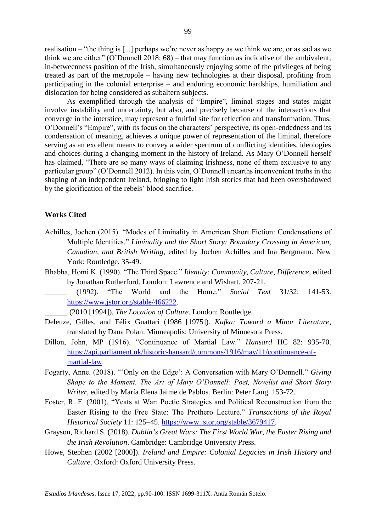realisation – "the thing is [...] perhaps we're never as happy as we think we are, or as sad as we think we are either" (O'Donnell 2018: 68) – that may function as indicative of the ambivalent, in-betweenness position of the Irish, simultaneously enjoying some of the privileges of being treated as part of the metropole – having new technologies at their disposal, profiting from participating in the colonial enterprise – and enduring economic hardships, humiliation and dislocation for being considered as subaltern subjects.

As exemplified through the analysis of "Empire", liminal stages and states might involve instability and uncertainty, but also, and precisely because of the intersections that converge in the interstice, may represent a fruitful site for reflection and transformation. Thus, O'Donnell's "Empire", with its focus on the characters' perspective, its open-endedness and its condensation of meaning, achieves a unique power of representation of the liminal, therefore serving as an excellent means to convey a wider spectrum of conflicting identities, ideologies and choices during a changing moment in the history of Ireland. As Mary O'Donnell herself has claimed, "There are so many ways of claiming Irishness, none of them exclusive to any particular group" (O'Donnell 2012). In this vein, O'Donnell unearths inconvenient truths in the shaping of an independent Ireland, bringing to light Irish stories that had been overshadowed by the glorification of the rebels' blood sacrifice.

## **Works Cited**

- Achilles, Jochen (2015). "Modes of Liminality in American Short Fiction: Condensations of Multiple Identities." *Liminality and the Short Story: Boundary Crossing in American, Canadian, and British Writing*, edited by Jochen Achilles and Ina Bergmann. New York: Routledge. 35-49.
- Bhabha, Homi K. (1990). "The Third Space." *Identity: Community, Culture, Difference*, edited by Jonathan Rutherford. London: Lawrence and Wishart. 207-21.
	- \_\_\_\_\_\_ (1992). "The World and the Home." *Social Text* 31/32: 141-53. [https://www.jstor.org/stable/466222.](https://www.jstor.org/stable/466222)
		- \_\_\_\_\_\_ (2010 [1994]). *The Location of Culture*. London: Routledge.
- Deleuze, Gilles, and Félix Guattari (1986 [1975]). *Kafka: Toward a Minor Literature*, translated by Dana Polan. Minneapolis: University of Minnesota Press.
- Dillon, John, MP (1916). "Continuance of Martial Law." *Hansard* HC 82: 935-70. [https://api.parliament.uk/historic-hansard/commons/1916/may/11/continuance-of](https://api.parliament.uk/historic-hansard/commons/1916/may/11/continuance-of-martial-law)[martial-law.](https://api.parliament.uk/historic-hansard/commons/1916/may/11/continuance-of-martial-law)
- Fogarty, Anne. (2018). "'Only on the Edge': A Conversation with Mary O'Donnell." *Giving Shape to the Moment. The Art of Mary O'Donnell: Poet, Novelist and Short Story Writer*, edited by María Elena Jaime de Pablos. Berlin: Peter Lang. 153-72.
- Foster, R. F. (2001). "Yeats at War: Poetic Strategies and Political Reconstruction from the Easter Rising to the Free State: The Prothero Lecture." *Transactions of the Royal Historical Society* 11: 125–45. [https://www.jstor.org/stable/3679417.](https://www.jstor.org/stable/3679417)
- Grayson, Richard S. (2018). *Dublin's Great Wars: The First World War, the Easter Rising and the Irish Revolution*. Cambridge: Cambridge University Press.
- Howe, Stephen (2002 [2000]). *Ireland and Empire: Colonial Legacies in Irish History and Culture*. Oxford: Oxford University Press.